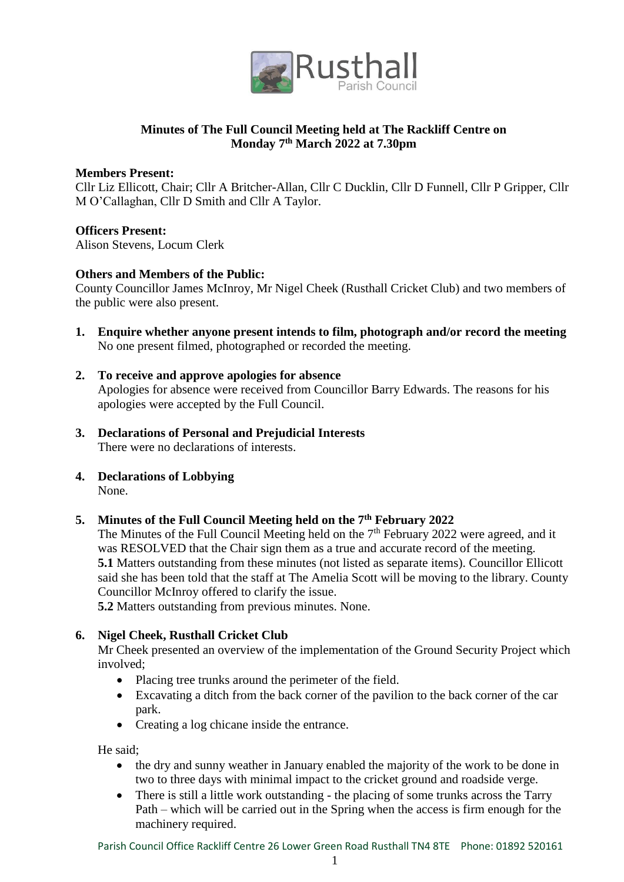

# **Minutes of The Full Council Meeting held at The Rackliff Centre on Monday 7th March 2022 at 7.30pm**

#### **Members Present:**

Cllr Liz Ellicott, Chair; Cllr A Britcher-Allan, Cllr C Ducklin, Cllr D Funnell, Cllr P Gripper, Cllr M O'Callaghan, Cllr D Smith and Cllr A Taylor.

#### **Officers Present:**

Alison Stevens, Locum Clerk

#### **Others and Members of the Public:**

County Councillor James McInroy, Mr Nigel Cheek (Rusthall Cricket Club) and two members of the public were also present.

- **1. Enquire whether anyone present intends to film, photograph and/or record the meeting** No one present filmed, photographed or recorded the meeting.
- **2. To receive and approve apologies for absence** Apologies for absence were received from Councillor Barry Edwards. The reasons for his apologies were accepted by the Full Council.
- **3. Declarations of Personal and Prejudicial Interests** There were no declarations of interests.
- **4. Declarations of Lobbying** None.

## **5. Minutes of the Full Council Meeting held on the 7th February 2022**

The Minutes of the Full Council Meeting held on the  $7<sup>th</sup>$  February 2022 were agreed, and it was RESOLVED that the Chair sign them as a true and accurate record of the meeting. **5.1** Matters outstanding from these minutes (not listed as separate items). Councillor Ellicott said she has been told that the staff at The Amelia Scott will be moving to the library. County Councillor McInroy offered to clarify the issue.

**5.2** Matters outstanding from previous minutes. None.

## **6. Nigel Cheek, Rusthall Cricket Club**

Mr Cheek presented an overview of the implementation of the Ground Security Project which involved;

- Placing tree trunks around the perimeter of the field.
- Excavating a ditch from the back corner of the pavilion to the back corner of the car park.
- Creating a log chicane inside the entrance.

He said;

- the dry and sunny weather in January enabled the majority of the work to be done in two to three days with minimal impact to the cricket ground and roadside verge.
- There is still a little work outstanding the placing of some trunks across the Tarry Path – which will be carried out in the Spring when the access is firm enough for the machinery required.

Parish Council Office Rackliff Centre 26 Lower Green Road Rusthall TN4 8TE Phone: 01892 520161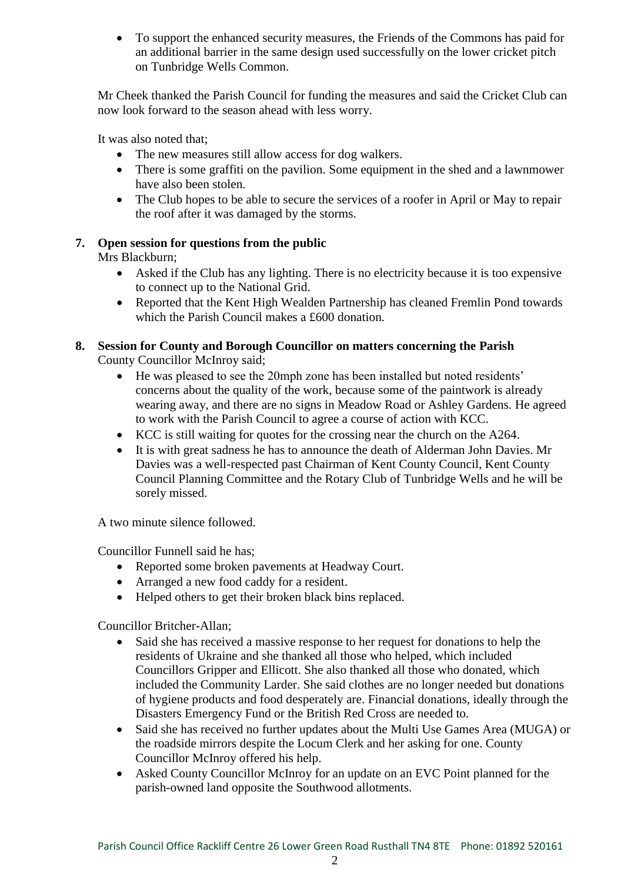To support the enhanced security measures, the Friends of the Commons has paid for an additional barrier in the same design used successfully on the lower cricket pitch on Tunbridge Wells Common.

Mr Cheek thanked the Parish Council for funding the measures and said the Cricket Club can now look forward to the season ahead with less worry.

It was also noted that;

- The new measures still allow access for dog walkers.
- There is some graffiti on the pavilion. Some equipment in the shed and a lawnmower have also been stolen.
- The Club hopes to be able to secure the services of a roofer in April or May to repair the roof after it was damaged by the storms.

# **7. Open session for questions from the public**

Mrs Blackburn;

- Asked if the Club has any lighting. There is no electricity because it is too expensive to connect up to the National Grid.
- Reported that the Kent High Wealden Partnership has cleaned Fremlin Pond towards which the Parish Council makes a £600 donation.

#### **8. Session for County and Borough Councillor on matters concerning the Parish** County Councillor McInroy said;

- He was pleased to see the 20mph zone has been installed but noted residents' concerns about the quality of the work, because some of the paintwork is already wearing away, and there are no signs in Meadow Road or Ashley Gardens. He agreed to work with the Parish Council to agree a course of action with KCC.
- KCC is still waiting for quotes for the crossing near the church on the A264.
- It is with great sadness he has to announce the death of Alderman John Davies. Mr Davies was a well-respected past Chairman of Kent County Council, Kent County Council Planning Committee and the Rotary Club of Tunbridge Wells and he will be sorely missed.

A two minute silence followed.

Councillor Funnell said he has;

- Reported some broken pavements at Headway Court.
- Arranged a new food caddy for a resident.
- Helped others to get their broken black bins replaced.

Councillor Britcher-Allan;

- Said she has received a massive response to her request for donations to help the residents of Ukraine and she thanked all those who helped, which included Councillors Gripper and Ellicott. She also thanked all those who donated, which included the Community Larder. She said clothes are no longer needed but donations of hygiene products and food desperately are. Financial donations, ideally through the Disasters Emergency Fund or the British Red Cross are needed to.
- Said she has received no further updates about the Multi Use Games Area (MUGA) or the roadside mirrors despite the Locum Clerk and her asking for one. County Councillor McInroy offered his help.
- Asked County Councillor McInroy for an update on an EVC Point planned for the parish-owned land opposite the Southwood allotments.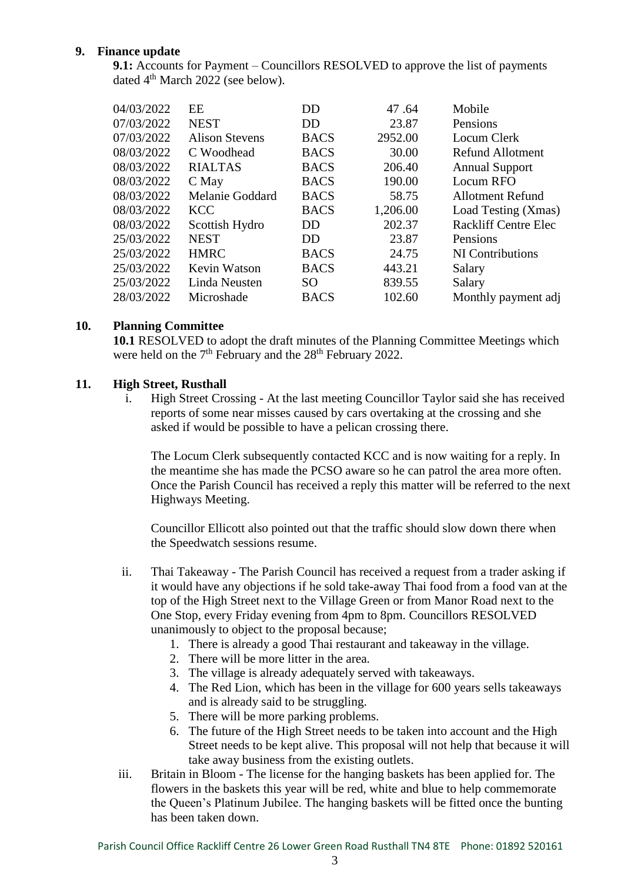# **9. Finance update**

**9.1:** Accounts for Payment – Councillors RESOLVED to approve the list of payments dated 4<sup>th</sup> March 2022 (see below).

| 04/03/2022 | EE                    | DD             | 47.64    | Mobile                      |
|------------|-----------------------|----------------|----------|-----------------------------|
| 07/03/2022 | <b>NEST</b>           | DD             | 23.87    | Pensions                    |
| 07/03/2022 | <b>Alison Stevens</b> | <b>BACS</b>    | 2952.00  | Locum Clerk                 |
| 08/03/2022 | C Woodhead            | <b>BACS</b>    | 30.00    | Refund Allotment            |
| 08/03/2022 | <b>RIALTAS</b>        | <b>BACS</b>    | 206.40   | <b>Annual Support</b>       |
| 08/03/2022 | C May                 | <b>BACS</b>    | 190.00   | Locum RFO                   |
| 08/03/2022 | Melanie Goddard       | <b>BACS</b>    | 58.75    | Allotment Refund            |
| 08/03/2022 | <b>KCC</b>            | <b>BACS</b>    | 1,206.00 | Load Testing (Xmas)         |
| 08/03/2022 | Scottish Hydro        | DD             | 202.37   | <b>Rackliff Centre Elec</b> |
| 25/03/2022 | <b>NEST</b>           | D <sub>D</sub> | 23.87    | Pensions                    |
| 25/03/2022 | <b>HMRC</b>           | <b>BACS</b>    | 24.75    | NI Contributions            |
| 25/03/2022 | Kevin Watson          | <b>BACS</b>    | 443.21   | Salary                      |
| 25/03/2022 | Linda Neusten         | SO.            | 839.55   | Salary                      |
| 28/03/2022 | Microshade            | <b>BACS</b>    | 102.60   | Monthly payment adj         |
|            |                       |                |          |                             |

## **10. Planning Committee**

**10.1** RESOLVED to adopt the draft minutes of the Planning Committee Meetings which were held on the  $7<sup>th</sup>$  February and the  $28<sup>th</sup>$  February 2022.

## **11. High Street, Rusthall**

i. High Street Crossing - At the last meeting Councillor Taylor said she has received reports of some near misses caused by cars overtaking at the crossing and she asked if would be possible to have a pelican crossing there.

The Locum Clerk subsequently contacted KCC and is now waiting for a reply. In the meantime she has made the PCSO aware so he can patrol the area more often. Once the Parish Council has received a reply this matter will be referred to the next Highways Meeting.

Councillor Ellicott also pointed out that the traffic should slow down there when the Speedwatch sessions resume.

- ii. Thai Takeaway The Parish Council has received a request from a trader asking if it would have any objections if he sold take-away Thai food from a food van at the top of the High Street next to the Village Green or from Manor Road next to the One Stop, every Friday evening from 4pm to 8pm. Councillors RESOLVED unanimously to object to the proposal because;
	- 1. There is already a good Thai restaurant and takeaway in the village.
	- 2. There will be more litter in the area.
	- 3. The village is already adequately served with takeaways.
	- 4. The Red Lion, which has been in the village for 600 years sells takeaways and is already said to be struggling.
	- 5. There will be more parking problems.
	- 6. The future of the High Street needs to be taken into account and the High Street needs to be kept alive. This proposal will not help that because it will take away business from the existing outlets.
- iii. Britain in Bloom The license for the hanging baskets has been applied for. The flowers in the baskets this year will be red, white and blue to help commemorate the Queen's Platinum Jubilee. The hanging baskets will be fitted once the bunting has been taken down.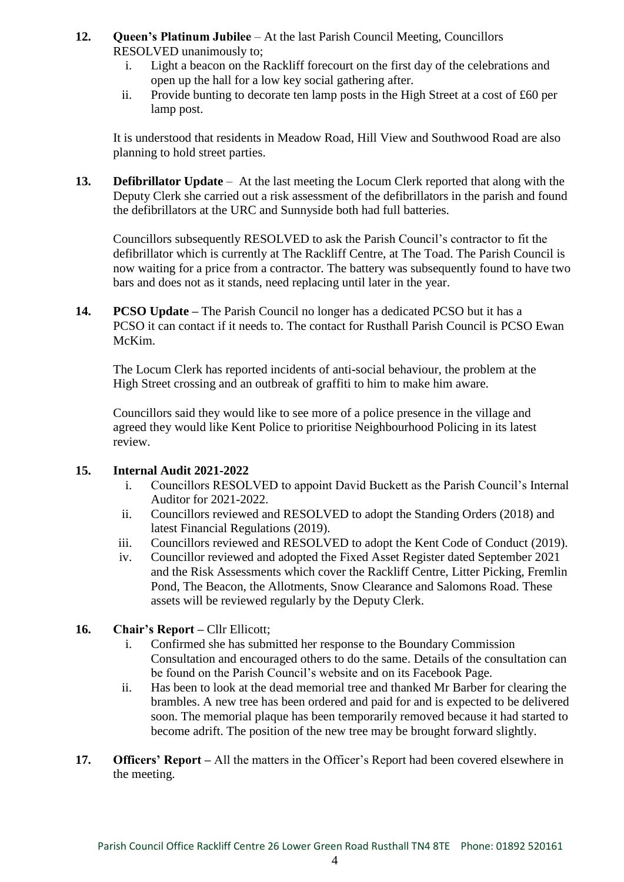## **12. Queen's Platinum Jubilee** – At the last Parish Council Meeting, Councillors RESOLVED unanimously to;

- i. Light a beacon on the Rackliff forecourt on the first day of the celebrations and open up the hall for a low key social gathering after.
- ii. Provide bunting to decorate ten lamp posts in the High Street at a cost of  $\text{\pounds}60$  per lamp post.

It is understood that residents in Meadow Road, Hill View and Southwood Road are also planning to hold street parties.

**13. Defibrillator Update** – At the last meeting the Locum Clerk reported that along with the Deputy Clerk she carried out a risk assessment of the defibrillators in the parish and found the defibrillators at the URC and Sunnyside both had full batteries.

Councillors subsequently RESOLVED to ask the Parish Council's contractor to fit the defibrillator which is currently at The Rackliff Centre, at The Toad. The Parish Council is now waiting for a price from a contractor. The battery was subsequently found to have two bars and does not as it stands, need replacing until later in the year.

**14. PCSO Update –** The Parish Council no longer has a dedicated PCSO but it has a PCSO it can contact if it needs to. The contact for Rusthall Parish Council is PCSO Ewan McKim.

The Locum Clerk has reported incidents of anti-social behaviour, the problem at the High Street crossing and an outbreak of graffiti to him to make him aware.

Councillors said they would like to see more of a police presence in the village and agreed they would like Kent Police to prioritise Neighbourhood Policing in its latest review.

## **15. Internal Audit 2021-2022**

- i. Councillors RESOLVED to appoint David Buckett as the Parish Council's Internal Auditor for 2021-2022.
- ii. Councillors reviewed and RESOLVED to adopt the Standing Orders (2018) and latest Financial Regulations (2019).
- iii. Councillors reviewed and RESOLVED to adopt the Kent Code of Conduct (2019).
- iv. Councillor reviewed and adopted the Fixed Asset Register dated September 2021 and the Risk Assessments which cover the Rackliff Centre, Litter Picking, Fremlin Pond, The Beacon, the Allotments, Snow Clearance and Salomons Road. These assets will be reviewed regularly by the Deputy Clerk.

# 16. Chair's Report – Cllr Ellicott;

- i. Confirmed she has submitted her response to the Boundary Commission Consultation and encouraged others to do the same. Details of the consultation can be found on the Parish Council's website and on its Facebook Page.
- ii. Has been to look at the dead memorial tree and thanked Mr Barber for clearing the brambles. A new tree has been ordered and paid for and is expected to be delivered soon. The memorial plaque has been temporarily removed because it had started to become adrift. The position of the new tree may be brought forward slightly.
- **17.** Officers' Report All the matters in the Officer's Report had been covered elsewhere in the meeting.